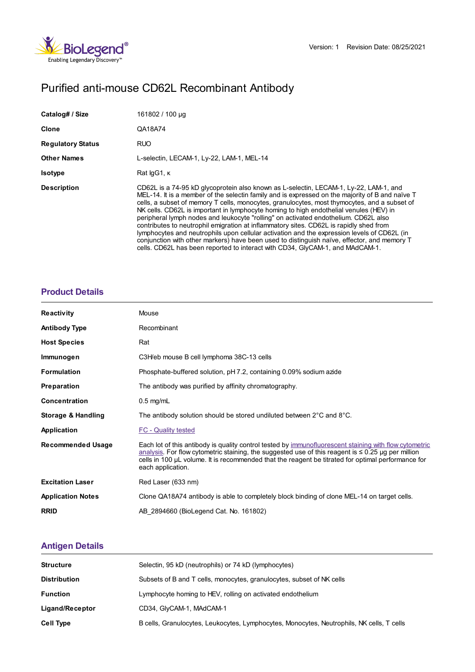

# Purified anti-mouse CD62L Recombinant Antibody

| Catalog# / Size          | 161802 / 100 µg                                                                                                                                                                                                                                                                                                                                                                                                                                                                                                                                                                                                                                                                                                                                                                                                                                    |
|--------------------------|----------------------------------------------------------------------------------------------------------------------------------------------------------------------------------------------------------------------------------------------------------------------------------------------------------------------------------------------------------------------------------------------------------------------------------------------------------------------------------------------------------------------------------------------------------------------------------------------------------------------------------------------------------------------------------------------------------------------------------------------------------------------------------------------------------------------------------------------------|
| <b>Clone</b>             | QA18A74                                                                                                                                                                                                                                                                                                                                                                                                                                                                                                                                                                                                                                                                                                                                                                                                                                            |
| <b>Regulatory Status</b> | <b>RUO</b>                                                                                                                                                                                                                                                                                                                                                                                                                                                                                                                                                                                                                                                                                                                                                                                                                                         |
| <b>Other Names</b>       | L-selectin, LECAM-1, Ly-22, LAM-1, MEL-14                                                                                                                                                                                                                                                                                                                                                                                                                                                                                                                                                                                                                                                                                                                                                                                                          |
| <b>Isotype</b>           | Rat lgG1, K                                                                                                                                                                                                                                                                                                                                                                                                                                                                                                                                                                                                                                                                                                                                                                                                                                        |
| <b>Description</b>       | CD62L is a 74-95 kD glycoprotein also known as L-selectin, LECAM-1, Ly-22, LAM-1, and<br>MEL-14. It is a member of the selectin family and is expressed on the majority of B and naïve T<br>cells, a subset of memory T cells, monocytes, granulocytes, most thymocytes, and a subset of<br>NK cells. CD62L is important in lymphocyte homing to high endothelial venules (HEV) in<br>peripheral lymph nodes and leukocyte "rolling" on activated endothelium. CD62L also<br>contributes to neutrophil emigration at inflammatory sites. CD62L is rapidly shed from<br>lymphocytes and neutrophils upon cellular activation and the expression levels of CD62L (in<br>conjunction with other markers) have been used to distinguish naïve, effector, and memory T<br>cells. CD62L has been reported to interact with CD34, GlyCAM-1, and MAdCAM-1. |

### **[Product](https://www.biolegend.com/en-us/search-results/purified-anti-mouse-cd62l-recombinant-antibody-21172?pdf=true&displayInline=true&leftRightMargin=15&topBottomMargin=15&filename=Purified anti-mouse CD62L Recombinant Antibody.pdf#productDetails) Details**

| <b>Reactivity</b>        | Mouse                                                                                                                                                                                                                                                                                                                                        |
|--------------------------|----------------------------------------------------------------------------------------------------------------------------------------------------------------------------------------------------------------------------------------------------------------------------------------------------------------------------------------------|
| <b>Antibody Type</b>     | Recombinant                                                                                                                                                                                                                                                                                                                                  |
| <b>Host Species</b>      | Rat                                                                                                                                                                                                                                                                                                                                          |
| Immunogen                | C3H/eb mouse B cell lymphoma 38C-13 cells                                                                                                                                                                                                                                                                                                    |
| <b>Formulation</b>       | Phosphate-buffered solution, pH 7.2, containing 0.09% sodium azide                                                                                                                                                                                                                                                                           |
| Preparation              | The antibody was purified by affinity chromatography.                                                                                                                                                                                                                                                                                        |
| <b>Concentration</b>     | $0.5$ mg/mL                                                                                                                                                                                                                                                                                                                                  |
| Storage & Handling       | The antibody solution should be stored undiluted between 2°C and 8°C.                                                                                                                                                                                                                                                                        |
| <b>Application</b>       | <b>FC - Quality tested</b>                                                                                                                                                                                                                                                                                                                   |
| <b>Recommended Usage</b> | Each lot of this antibody is quality control tested by immunofluorescent staining with flow cytometric<br>analysis. For flow cytometric staining, the suggested use of this reagent is $\leq 0.25$ µg per million<br>cells in 100 µL volume. It is recommended that the reagent be titrated for optimal performance for<br>each application. |
| <b>Excitation Laser</b>  | Red Laser (633 nm)                                                                                                                                                                                                                                                                                                                           |
| <b>Application Notes</b> | Clone QA18A74 antibody is able to completely block binding of clone MEL-14 on target cells.                                                                                                                                                                                                                                                  |
| <b>RRID</b>              | AB 2894660 (BioLegend Cat. No. 161802)                                                                                                                                                                                                                                                                                                       |

## **[Antigen](https://www.biolegend.com/en-us/search-results/purified-anti-mouse-cd62l-recombinant-antibody-21172?pdf=true&displayInline=true&leftRightMargin=15&topBottomMargin=15&filename=Purified anti-mouse CD62L Recombinant Antibody.pdf#antigenDetails) Details**

| <b>Structure</b>    | Selectin, 95 kD (neutrophils) or 74 kD (lymphocytes)                                      |
|---------------------|-------------------------------------------------------------------------------------------|
| <b>Distribution</b> | Subsets of B and T cells, monocytes, granulocytes, subset of NK cells                     |
| <b>Function</b>     | Lymphocyte homing to HEV, rolling on activated endothelium                                |
| Ligand/Receptor     | CD34, GlyCAM-1, MAdCAM-1                                                                  |
| <b>Cell Type</b>    | B cells, Granulocytes, Leukocytes, Lymphocytes, Monocytes, Neutrophils, NK cells, T cells |